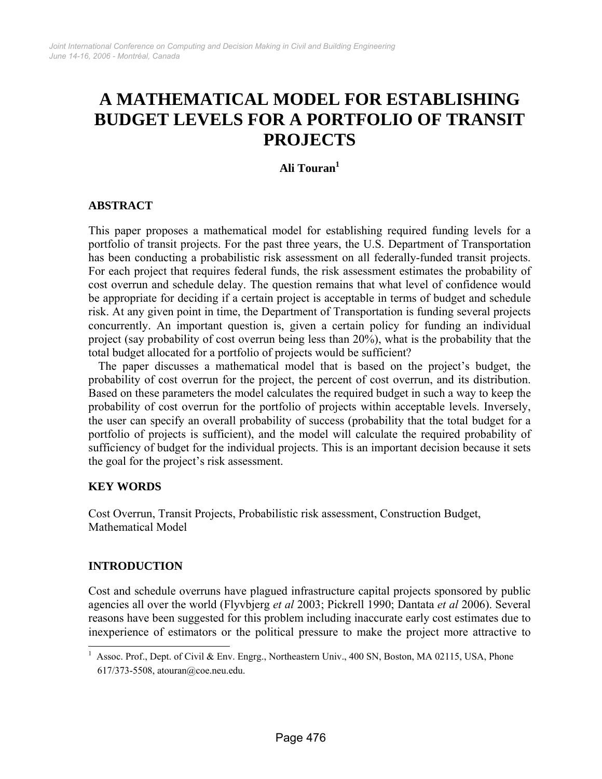# **A MATHEMATICAL MODEL FOR ESTABLISHING BUDGET LEVELS FOR A PORTFOLIO OF TRANSIT PROJECTS**

## **Ali Touran1**

## **ABSTRACT**

This paper proposes a mathematical model for establishing required funding levels for a portfolio of transit projects. For the past three years, the U.S. Department of Transportation has been conducting a probabilistic risk assessment on all federally-funded transit projects. For each project that requires federal funds, the risk assessment estimates the probability of cost overrun and schedule delay. The question remains that what level of confidence would be appropriate for deciding if a certain project is acceptable in terms of budget and schedule risk. At any given point in time, the Department of Transportation is funding several projects concurrently. An important question is, given a certain policy for funding an individual project (say probability of cost overrun being less than 20%), what is the probability that the total budget allocated for a portfolio of projects would be sufficient?

The paper discusses a mathematical model that is based on the project's budget, the probability of cost overrun for the project, the percent of cost overrun, and its distribution. Based on these parameters the model calculates the required budget in such a way to keep the probability of cost overrun for the portfolio of projects within acceptable levels. Inversely, the user can specify an overall probability of success (probability that the total budget for a portfolio of projects is sufficient), and the model will calculate the required probability of sufficiency of budget for the individual projects. This is an important decision because it sets the goal for the project's risk assessment.

## **KEY WORDS**

Cost Overrun, Transit Projects, Probabilistic risk assessment, Construction Budget, Mathematical Model

## **INTRODUCTION**

 $\overline{a}$ 

Cost and schedule overruns have plagued infrastructure capital projects sponsored by public agencies all over the world (Flyvbjerg *et al* 2003; Pickrell 1990; Dantata *et al* 2006). Several reasons have been suggested for this problem including inaccurate early cost estimates due to inexperience of estimators or the political pressure to make the project more attractive to

<sup>&</sup>lt;sup>1</sup> Assoc. Prof., Dept. of Civil & Env. Engrg., Northeastern Univ., 400 SN, Boston, MA 02115, USA, Phone 617/373-5508, atouran@coe.neu.edu.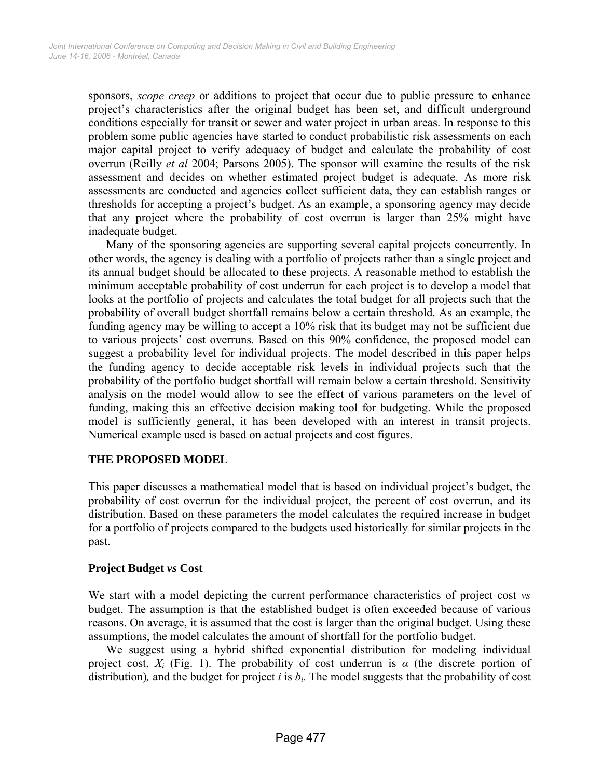sponsors, *scope creep* or additions to project that occur due to public pressure to enhance project's characteristics after the original budget has been set, and difficult underground conditions especially for transit or sewer and water project in urban areas. In response to this problem some public agencies have started to conduct probabilistic risk assessments on each major capital project to verify adequacy of budget and calculate the probability of cost overrun (Reilly *et al* 2004; Parsons 2005). The sponsor will examine the results of the risk assessment and decides on whether estimated project budget is adequate. As more risk assessments are conducted and agencies collect sufficient data, they can establish ranges or thresholds for accepting a project's budget. As an example, a sponsoring agency may decide that any project where the probability of cost overrun is larger than 25% might have inadequate budget.

Many of the sponsoring agencies are supporting several capital projects concurrently. In other words, the agency is dealing with a portfolio of projects rather than a single project and its annual budget should be allocated to these projects. A reasonable method to establish the minimum acceptable probability of cost underrun for each project is to develop a model that looks at the portfolio of projects and calculates the total budget for all projects such that the probability of overall budget shortfall remains below a certain threshold. As an example, the funding agency may be willing to accept a 10% risk that its budget may not be sufficient due to various projects' cost overruns. Based on this 90% confidence, the proposed model can suggest a probability level for individual projects. The model described in this paper helps the funding agency to decide acceptable risk levels in individual projects such that the probability of the portfolio budget shortfall will remain below a certain threshold. Sensitivity analysis on the model would allow to see the effect of various parameters on the level of funding, making this an effective decision making tool for budgeting. While the proposed model is sufficiently general, it has been developed with an interest in transit projects. Numerical example used is based on actual projects and cost figures.

## **THE PROPOSED MODEL**

This paper discusses a mathematical model that is based on individual project's budget, the probability of cost overrun for the individual project, the percent of cost overrun, and its distribution. Based on these parameters the model calculates the required increase in budget for a portfolio of projects compared to the budgets used historically for similar projects in the past.

## **Project Budget** *vs* **Cost**

We start with a model depicting the current performance characteristics of project cost *vs*  budget. The assumption is that the established budget is often exceeded because of various reasons. On average, it is assumed that the cost is larger than the original budget. Using these assumptions, the model calculates the amount of shortfall for the portfolio budget.

We suggest using a hybrid shifted exponential distribution for modeling individual project cost,  $X_i$  (Fig. 1). The probability of cost underrun is  $\alpha$  (the discrete portion of distribution), and the budget for project  $i$  is  $b_i$ . The model suggests that the probability of cost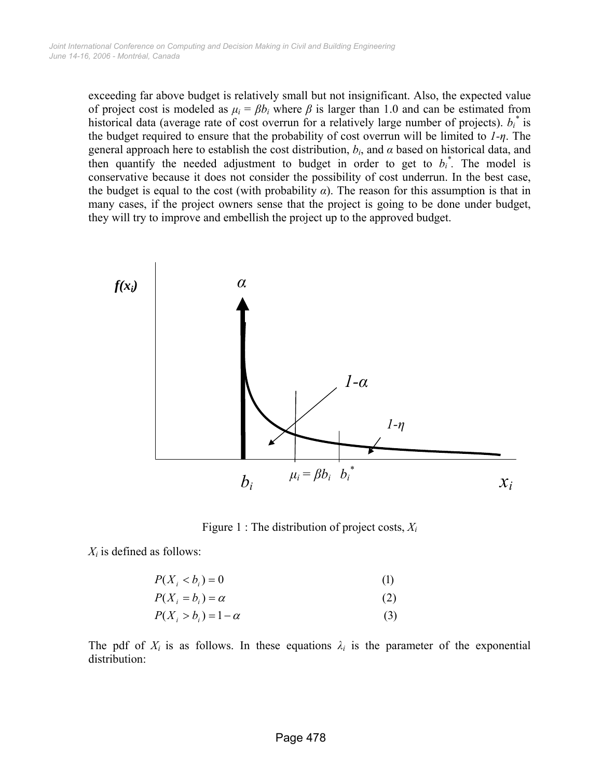exceeding far above budget is relatively small but not insignificant. Also, the expected value of project cost is modeled as  $\mu_i = \beta b_i$  where  $\beta$  is larger than 1.0 and can be estimated from historical data (average rate of cost overrun for a relatively large number of projects).  $b_i^*$  is the budget required to ensure that the probability of cost overrun will be limited to *1-η*. The general approach here to establish the cost distribution, *bi*, and *α* based on historical data, and then quantify the needed adjustment to budget in order to get to  $b_i^*$ . The model is conservative because it does not consider the possibility of cost underrun. In the best case, the budget is equal to the cost (with probability  $\alpha$ ). The reason for this assumption is that in many cases, if the project owners sense that the project is going to be done under budget, they will try to improve and embellish the project up to the approved budget.



Figure 1 : The distribution of project costs, *Xi*

 $X_i$  is defined as follows:

$$
P(X_i < b_i) = 0\tag{1}
$$

$$
P(X_i = b_i) = \alpha
$$
\n
$$
P(X_i > b_i) = 1 - \alpha
$$
\n(2)

$$
P(X_i > b_i) = 1 - \alpha \tag{3}
$$

The pdf of  $X_i$  is as follows. In these equations  $\lambda_i$  is the parameter of the exponential distribution: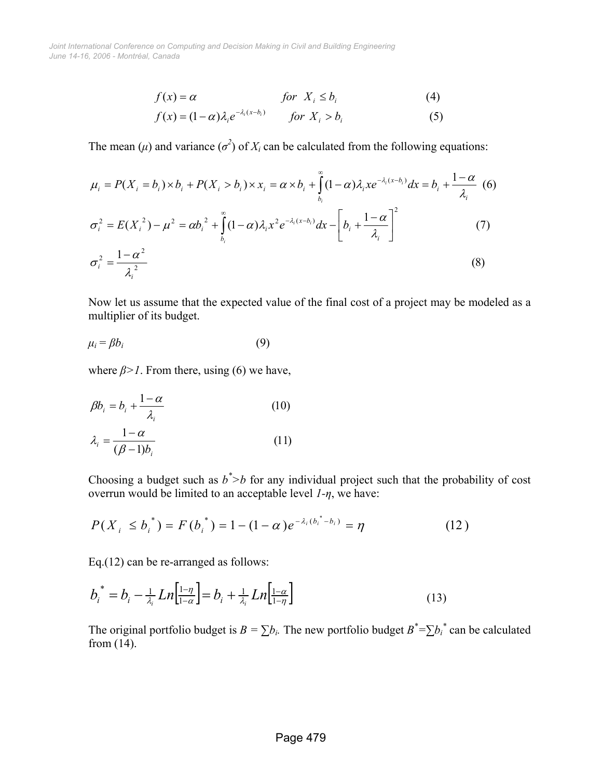*June 14-16, 2006 - Montréal, Canada Joint International Conference on Computing and Decision Making in Civil and Building Engineering*

$$
f(x) = \alpha \qquad \qquad \text{for} \ \ X_i \le b_i \tag{4}
$$

$$
f(x) = (1 - \alpha)\lambda_i e^{-\lambda_i (x - b_i)} \qquad \text{for } X_i > b_i \tag{5}
$$

The mean  $(\mu)$  and variance  $(\sigma^2)$  of  $X_i$  can be calculated from the following equations:

$$
\mu_{i} = P(X_{i} = b_{i}) \times b_{i} + P(X_{i} > b_{i}) \times x_{i} = \alpha \times b_{i} + \int_{b_{i}}^{\infty} (1 - \alpha) \lambda_{i} x e^{-\lambda_{i} (x - b_{i})} dx = b_{i} + \frac{1 - \alpha}{\lambda_{i}} \tag{6}
$$
  

$$
\sigma_{i}^{2} = E(X_{i}^{2}) - \mu^{2} = \alpha b_{i}^{2} + \int_{b_{i}}^{\infty} (1 - \alpha) \lambda_{i} x^{2} e^{-\lambda_{i} (x - b_{i})} dx - \left[ b_{i} + \frac{1 - \alpha}{\lambda_{i}} \right]^{2} \tag{7}
$$
  

$$
\sigma_{i}^{2} = \frac{1 - \alpha^{2}}{\lambda_{i}^{2}}
$$

Now let us assume that the expected value of the final cost of a project may be modeled as a multiplier of its budget.

$$
\mu_i = \beta b_i \tag{9}
$$

where  $\beta$ >1. From there, using (6) we have,

$$
\beta b_i = b_i + \frac{1 - \alpha}{\lambda_i} \tag{10}
$$

$$
\lambda_i = \frac{1 - \alpha}{(\beta - 1)b_i} \tag{11}
$$

Choosing a budget such as  $b^*$  *b* for any individual project such that the probability of cost overrun would be limited to an acceptable level *1-η*, we have:

$$
P(X_i \le b_i^*) = F(b_i^*) = 1 - (1 - \alpha)e^{-\lambda_i(b_i^* - b_i)} = \eta
$$
 (12)

Eq.(12) can be re-arranged as follows:

$$
b_i^* = b_i - \frac{1}{\lambda_i} Ln\left[\frac{1-\eta}{1-\alpha}\right] = b_i + \frac{1}{\lambda_i} Ln\left[\frac{1-\alpha}{1-\eta}\right]
$$
\n(13)

The original portfolio budget is  $B = \sum b_i$ . The new portfolio budget  $B^* = \sum b_i^*$  can be calculated from  $(14)$ .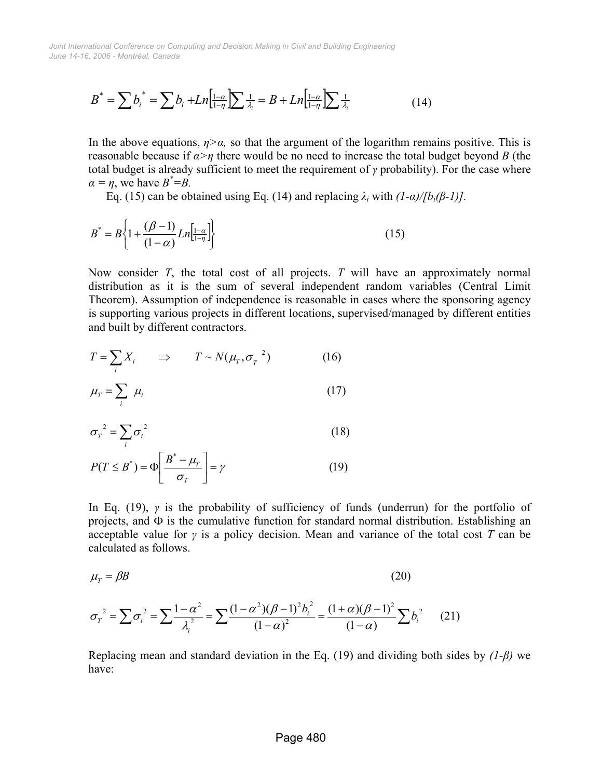*June 14-16, 2006 - Montréal, Canada Joint International Conference on Computing and Decision Making in Civil and Building Engineering*

$$
B^* = \sum b_i^* = \sum b_i + Ln\left[\frac{1-\alpha}{1-\eta}\right] \sum \frac{1}{\lambda_i} = B + Ln\left[\frac{1-\alpha}{1-\eta}\right] \sum \frac{1}{\lambda_i}
$$
(14)

In the above equations,  $\eta$ > $\alpha$ , so that the argument of the logarithm remains positive. This is reasonable because if  $\alpha > \eta$  there would be no need to increase the total budget beyond *B* (the total budget is already sufficient to meet the requirement of *γ* probability). For the case where  $\alpha = \eta$ , we have  $B^* = B$ .

Eq. (15) can be obtained using Eq. (14) and replacing  $\lambda_i$  with  $\frac{1-\alpha}{\beta_i(\beta-1)}$ .

$$
B^* = B \left\{ 1 + \frac{(\beta - 1)}{(1 - \alpha)} L n \Big|_{1 - \eta}^{1 - \alpha} \right\} \tag{15}
$$

Now consider *T*, the total cost of all projects. *T* will have an approximately normal distribution as it is the sum of several independent random variables (Central Limit Theorem). Assumption of independence is reasonable in cases where the sponsoring agency is supporting various projects in different locations, supervised/managed by different entities and built by different contractors.

$$
T = \sum_{i} X_{i} \qquad \Rightarrow \qquad T \sim N(\mu_{T}, \sigma_{T}^{-2}) \tag{16}
$$

$$
\mu_{T} = \sum_{i} \mu_{i} \tag{17}
$$

$$
\sigma_r^2 = \sum_i \sigma_i^2 \tag{18}
$$

$$
P(T \le B^*) = \Phi \left[ \frac{B^* - \mu_T}{\sigma_T} \right] = \gamma \tag{19}
$$

In Eq. (19), *γ* is the probability of sufficiency of funds (underrun) for the portfolio of projects, and  $\Phi$  is the cumulative function for standard normal distribution. Establishing an acceptable value for *γ* is a policy decision. Mean and variance of the total cost *T* can be calculated as follows.

$$
\mu_{\scriptscriptstyle T} = \beta B \tag{20}
$$

$$
\sigma_r^2 = \sum \sigma_i^2 = \sum \frac{1 - \alpha^2}{\lambda_i^2} = \sum \frac{(1 - \alpha^2)(\beta - 1)^2 b_i^2}{(1 - \alpha)^2} = \frac{(1 + \alpha)(\beta - 1)^2}{(1 - \alpha)} \sum b_i^2 \tag{21}
$$

Replacing mean and standard deviation in the Eq. (19) and dividing both sides by *(1-β)* we have: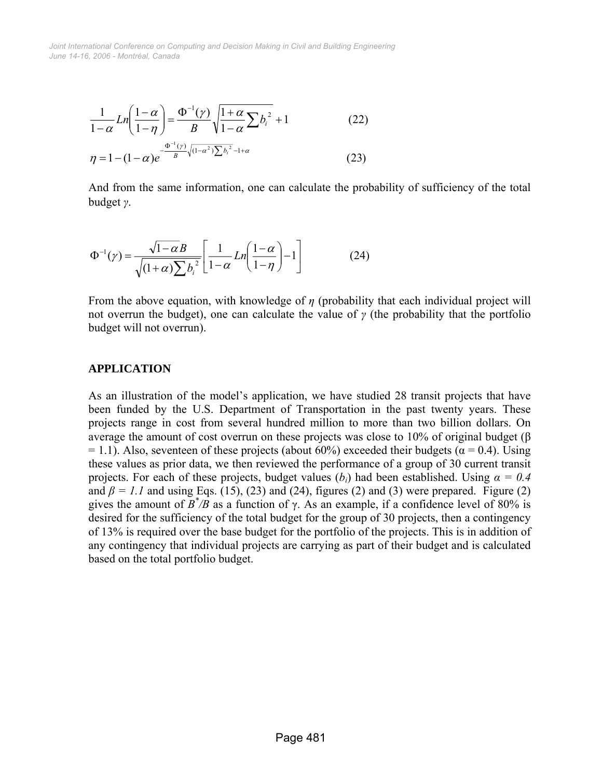*June 14-16, 2006 - Montréal, Canada Joint International Conference on Computing and Decision Making in Civil and Building Engineering*

$$
\frac{1}{1-\alpha}Ln\left(\frac{1-\alpha}{1-\eta}\right) = \frac{\Phi^{-1}(\gamma)}{B} \sqrt{\frac{1+\alpha}{1-\alpha} \sum b_i^2} + 1
$$
\n(22)  
\n
$$
\eta = 1 - (1-\alpha)e^{-\frac{\Phi^{-1}(\gamma)}{B} \sqrt{(1-\alpha^2)} \sum b_i^2 - 1 + \alpha}}
$$
\n(23)

And from the same information, one can calculate the probability of sufficiency of the total budget *γ*.

$$
\Phi^{-1}(\gamma) = \frac{\sqrt{1-\alpha}B}{\sqrt{(1+\alpha)\sum b_i^2}} \left[ \frac{1}{1-\alpha} Ln\left(\frac{1-\alpha}{1-\eta}\right) - 1 \right]
$$
(24)

From the above equation, with knowledge of *η* (probability that each individual project will not overrun the budget), one can calculate the value of *γ* (the probability that the portfolio budget will not overrun).

#### **APPLICATION**

As an illustration of the model's application, we have studied 28 transit projects that have been funded by the U.S. Department of Transportation in the past twenty years. These projects range in cost from several hundred million to more than two billion dollars. On average the amount of cost overrun on these projects was close to 10% of original budget (β = 1.1). Also, seventeen of these projects (about 60%) exceeded their budgets ( $\alpha$  = 0.4). Using these values as prior data, we then reviewed the performance of a group of 30 current transit projects. For each of these projects, budget values  $(b_i)$  had been established. Using  $\alpha = 0.4$ and  $\beta = 1.1$  and using Eqs. (15), (23) and (24), figures (2) and (3) were prepared. Figure (2) gives the amount of  $B^*/B$  as a function of  $\gamma$ . As an example, if a confidence level of 80% is desired for the sufficiency of the total budget for the group of 30 projects, then a contingency of 13% is required over the base budget for the portfolio of the projects. This is in addition of any contingency that individual projects are carrying as part of their budget and is calculated based on the total portfolio budget.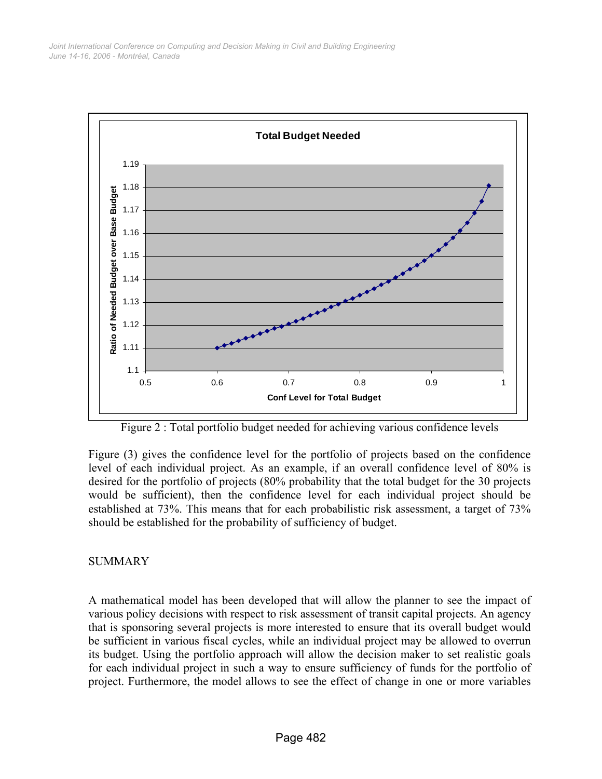

Figure 2 : Total portfolio budget needed for achieving various confidence levels

Figure (3) gives the confidence level for the portfolio of projects based on the confidence level of each individual project. As an example, if an overall confidence level of 80% is desired for the portfolio of projects (80% probability that the total budget for the 30 projects would be sufficient), then the confidence level for each individual project should be established at 73%. This means that for each probabilistic risk assessment, a target of 73% should be established for the probability of sufficiency of budget.

## **SUMMARY**

A mathematical model has been developed that will allow the planner to see the impact of various policy decisions with respect to risk assessment of transit capital projects. An agency that is sponsoring several projects is more interested to ensure that its overall budget would be sufficient in various fiscal cycles, while an individual project may be allowed to overrun its budget. Using the portfolio approach will allow the decision maker to set realistic goals for each individual project in such a way to ensure sufficiency of funds for the portfolio of project. Furthermore, the model allows to see the effect of change in one or more variables